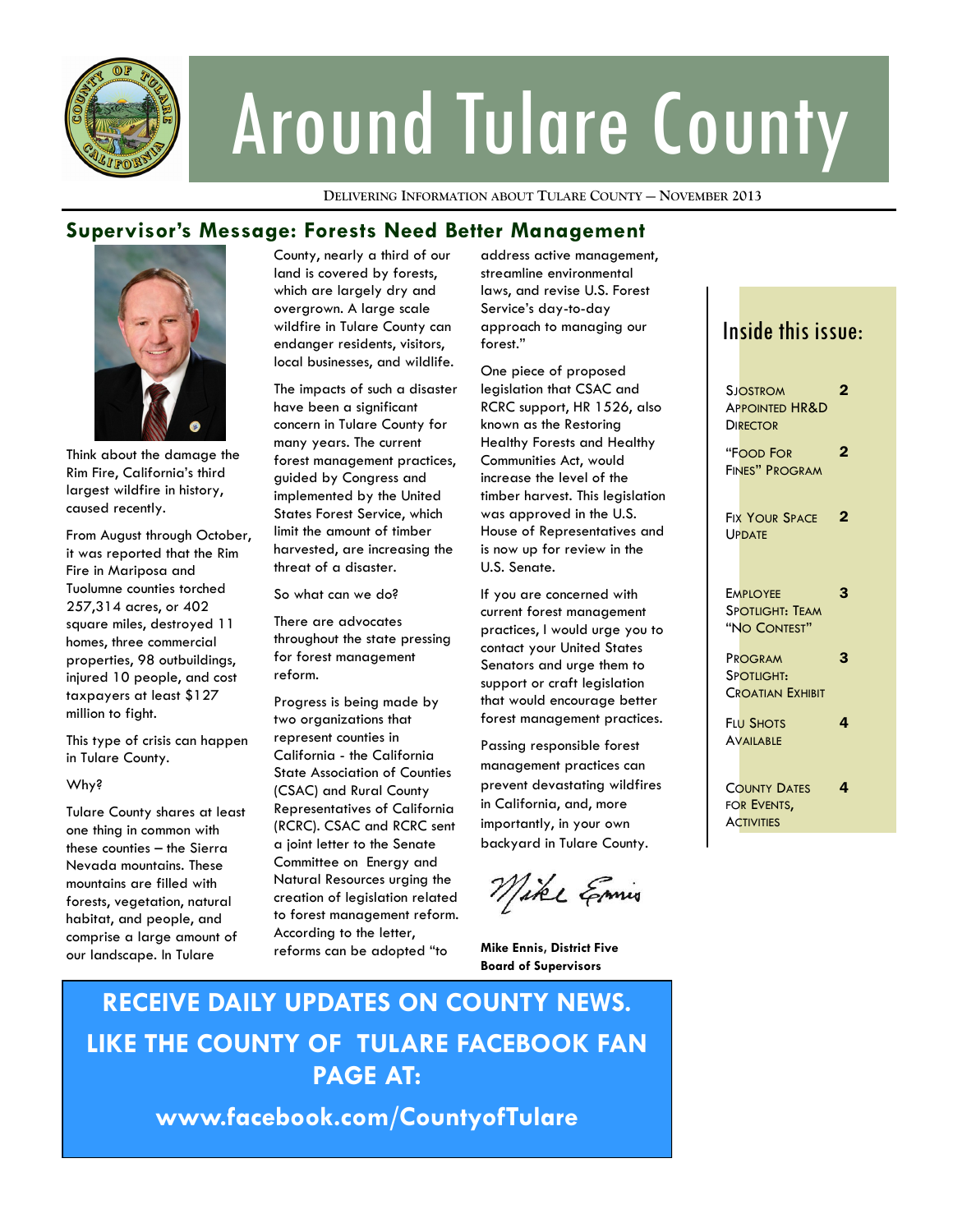

# Around Tulare County

**DELIVERING INFORMATION ABOUT TULARE COUNTY — NOVEMBER 2013**

#### **Supervisor's Message: Forests Need Better Management**



Think about the damage the Rim Fire, California's third largest wildfire in history, caused recently.

From August through October, it was reported that the Rim Fire in Mariposa and Tuolumne counties torched 257,314 acres, or 402 square miles, destroyed 11 homes, three commercial properties, 98 outbuildings, injured 10 people, and cost taxpayers at least \$127 million to fight.

This type of crisis can happen in Tulare County.

#### Why?

Tulare County shares at least one thing in common with these counties – the Sierra Nevada mountains. These mountains are filled with forests, vegetation, natural habitat, and people, and comprise a large amount of our landscape. In Tulare

County, nearly a third of our land is covered by forests, which are largely dry and overgrown. A large scale wildfire in Tulare County can endanger residents, visitors, local businesses, and wildlife.

The impacts of such a disaster have been a significant concern in Tulare County for many years. The current forest management practices, guided by Congress and implemented by the United States Forest Service, which limit the amount of timber harvested, are increasing the threat of a disaster.

So what can we do?

There are advocates throughout the state pressing for forest management reform.

Progress is being made by two organizations that represent counties in California - the California State Association of Counties (CSAC) and Rural County Representatives of California (RCRC). CSAC and RCRC sent a joint letter to the Senate Committee on Energy and Natural Resources urging the creation of legislation related to forest management reform. According to the letter, reforms can be adopted "to

address active management, streamline environmental laws, and revise U.S. Forest Service's day-to-day approach to managing our forest."

One piece of proposed legislation that CSAC and RCRC support, HR 1526, also known as the Restoring Healthy Forests and Healthy Communities Act, would increase the level of the timber harvest. This legislation was approved in the U.S. House of Representatives and is now up for review in the U.S. Senate.

If you are concerned with current forest management practices, I would urge you to contact your United States Senators and urge them to support or craft legislation that would encourage better forest management practices.

Passing responsible forest management practices can prevent devastating wildfires in California, and, more importantly, in your own backyard in Tulare County.

Mike Emis

**Mike Ennis, District Five Board of Supervisors**

# **RECEIVE DAILY UPDATES ON COUNTY NEWS. LIKE THE COUNTY OF TULARE FACEBOOK FAN PAGE AT:**

**www.facebook.com/CountyofTulare**

## Inside this issue:

| <b>SJOSTROM</b><br><b>APPOINTED HR&amp;D</b><br><b>DIRECTOR</b> | 2 |
|-----------------------------------------------------------------|---|
| <b>"FOOD FOR</b><br>FINES" PROGRAM                              | 2 |
| <b>FIX YOUR SPACE</b><br><b>UPDATE</b>                          | 2 |
| <b>EMPLOYEE</b><br><b>SPOTLIGHT: TEAM</b><br>"NO CONTEST"       | 3 |
| PROGRAM<br>SPOTLIGHT:<br><b>CROATIAN EXHIBIT</b>                | 3 |
| <b>FLU SHOTS</b><br><b>AVAILABLE</b>                            | 4 |
| <b>COUNTY DATES</b><br>FOR EVENTS,<br><b>ACTIVITIES</b>         | 4 |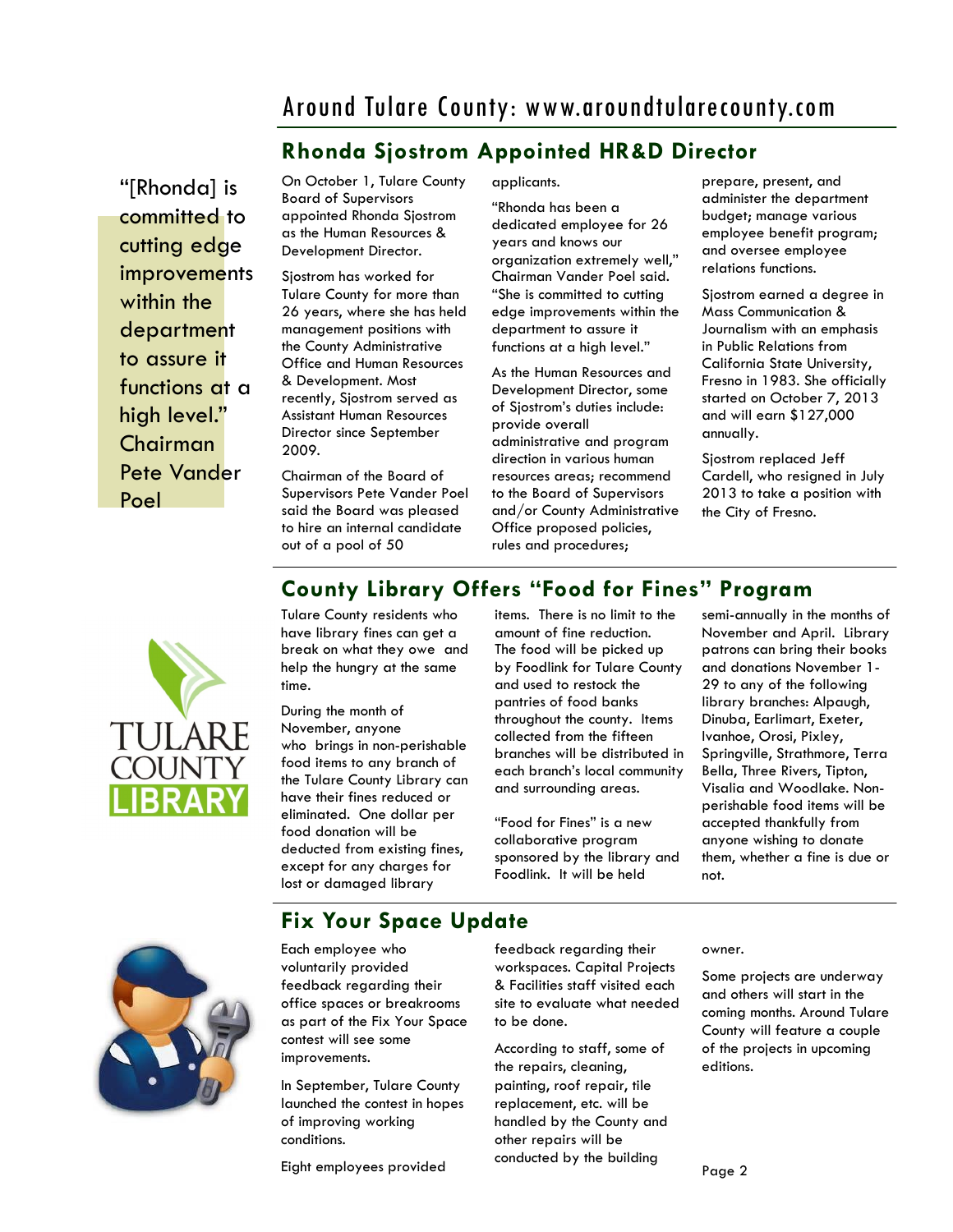# Around Tulare County: www.aroundtularecounty.com

## **Rhonda Sjostrom Appointed HR&D Director**

"[Rhonda] is committed to cutting edge **improvements** within the department to assure it functions at a high level." Chairman Pete Vander Poel

On October 1, Tulare County Board of Supervisors appointed Rhonda Sjostrom as the Human Resources & Development Director.

Sjostrom has worked for Tulare County for more than 26 years, where she has held management positions with the County Administrative Office and Human Resources & Development. Most recently, Sjostrom served as Assistant Human Resources Director since September 2009.

Chairman of the Board of Supervisors Pete Vander Poel said the Board was pleased to hire an internal candidate out of a pool of 50

applicants.

"Rhonda has been a dedicated employee for 26 years and knows our organization extremely well," Chairman Vander Poel said. "She is committed to cutting edge improvements within the department to assure it functions at a high level."

As the Human Resources and Development Director, some of Sjostrom's duties include: provide overall administrative and program direction in various human resources areas; recommend to the Board of Supervisors and/or County Administrative Office proposed policies, rules and procedures;

**County Library Offers "Food for Fines" Program**

prepare, present, and administer the department budget; manage various employee benefit program; and oversee employee relations functions.

Sjostrom earned a degree in Mass Communication & Journalism with an emphasis in Public Relations from California State University, Fresno in 1983. She officially started on October 7, 2013 and will earn \$127,000 annually.

Sjostrom replaced Jeff Cardell, who resigned in July 2013 to take a position with the City of Fresno.



Tulare County residents who have library fines can get a break on what they owe and help the hungry at the same time.

During the month of November, anyone who brings in non-perishable food items to any branch of the Tulare County Library can have their fines reduced or eliminated. One dollar per food donation will be deducted from existing fines, except for any charges for lost or damaged library

items. There is no limit to the amount of fine reduction. The food will be picked up by Foodlink for Tulare County and used to restock the pantries of food banks throughout the county. Items collected from the fifteen branches will be distributed in each branch's local community and surrounding areas.

"Food for Fines" is a new collaborative program sponsored by the library and Foodlink. It will be held

semi-annually in the months of November and April. Library patrons can bring their books and donations November 1- 29 to any of the following library branches: Alpaugh, Dinuba, Earlimart, Exeter, Ivanhoe, Orosi, Pixley, Springville, Strathmore, Terra Bella, Three Rivers, Tipton, Visalia and Woodlake. Nonperishable food items will be accepted thankfully from anyone wishing to donate them, whether a fine is due or not.



## **Fix Your Space Update**

Each employee who voluntarily provided feedback regarding their office spaces or breakrooms as part of the Fix Your Space contest will see some improvements.

In September, Tulare County launched the contest in hopes of improving working conditions.

Eight employees provided

feedback regarding their workspaces. Capital Projects & Facilities staff visited each site to evaluate what needed to be done.

According to staff, some of the repairs, cleaning, painting, roof repair, tile replacement, etc. will be handled by the County and other repairs will be conducted by the building

owner.

Some projects are underway and others will start in the coming months. Around Tulare County will feature a couple of the projects in upcoming editions.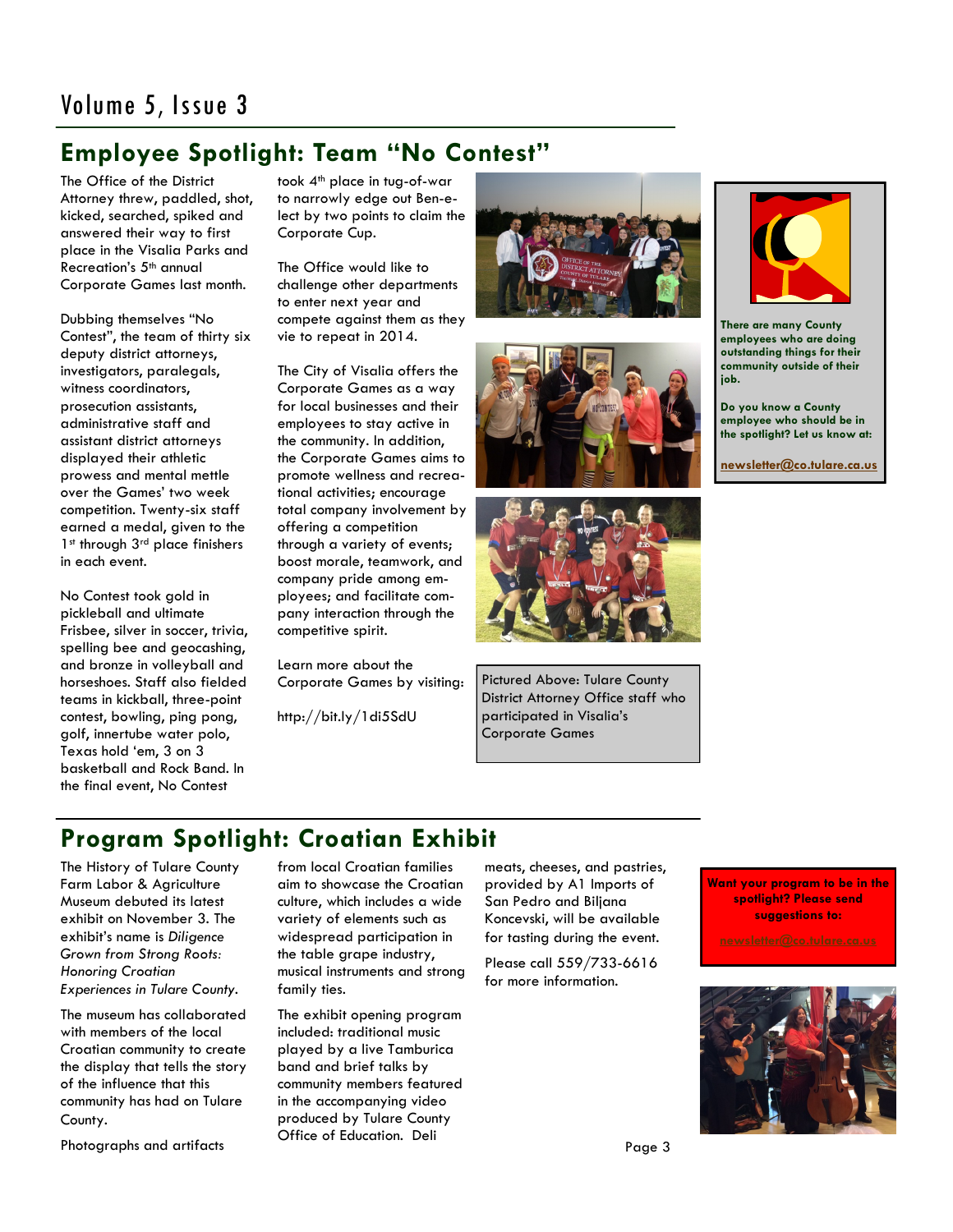# Volume 5, Issue 3

## **Employee Spotlight: Team "No Contest"**

The Office of the District Attorney threw, paddled, shot, kicked, searched, spiked and answered their way to first place in the Visalia Parks and Recreation's 5th annual Corporate Games last month.

Dubbing themselves "No Contest", the team of thirty six deputy district attorneys, investigators, paralegals, witness coordinators, prosecution assistants, administrative staff and assistant district attorneys displayed their athletic prowess and mental mettle over the Games' two week competition. Twenty-six staff earned a medal, given to the 1st through 3rd place finishers in each event.

No Contest took gold in pickleball and ultimate Frisbee, silver in soccer, trivia, spelling bee and geocashing, and bronze in volleyball and horseshoes. Staff also fielded teams in kickball, three-point contest, bowling, ping pong, golf, innertube water polo, Texas hold 'em, 3 on 3 basketball and Rock Band. In the final event, No Contest

took 4<sup>th</sup> place in tug-of-war to narrowly edge out Ben-elect by two points to claim the Corporate Cup.

The Office would like to challenge other departments to enter next year and compete against them as they vie to repeat in 2014.

The City of Visalia offers the Corporate Games as a way for local businesses and their employees to stay active in the community. In addition, the Corporate Games aims to promote wellness and recreational activities; encourage total company involvement by offering a competition through a variety of events; boost morale, teamwork, and company pride among employees; and facilitate company interaction through the competitive spirit.

Learn more about the Corporate Games by visiting:

http://bit.ly/1di5SdU







Pictured Above: Tulare County District Attorney Office staff who participated in Visalia's Corporate Games



**There are many County employees who are doing outstanding things for their community outside of their job.**

**Do you know a County employee who should be in the spotlight? Let us know at:** 

**[newsletter@co.tulare.ca.us](mailto:newsletter@co.tulare.ca.us?subject=Employee%20spotlight)**

# **Program Spotlight: Croatian Exhibit**

The History of Tulare County Farm Labor & Agriculture Museum debuted its latest exhibit on November 3. The exhibit's name is *Diligence Grown from Strong Roots: Honoring Croatian Experiences in Tulare County.*

The museum has collaborated with members of the local Croatian community to create the display that tells the story of the influence that this community has had on Tulare County.

Photographs and artifacts

from local Croatian families aim to showcase the Croatian culture, which includes a wide variety of elements such as widespread participation in the table grape industry, musical instruments and strong family ties.

The exhibit opening program included: traditional music played by a live Tamburica band and brief talks by community members featured in the accompanying video produced by Tulare County Office of Education. Deli

meats, cheeses, and pastries, provided by A1 Imports of San Pedro and Biljana Koncevski, will be available for tasting during the event.

Please call 559/733-6616 for more information.

**Want your program to be in the spotlight? Please send suggestions to:**